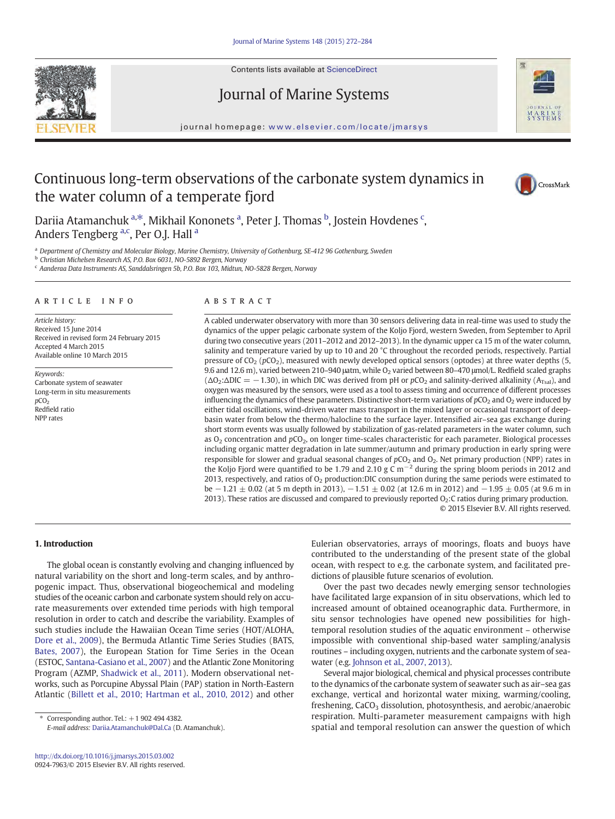

Contents lists available at ScienceDirect

# Journal of Marine Systems



journal homepage: <www.elsevier.com/locate/jmarsys>

# Continuous long-term observations of the carbonate system dynamics in the water column of a temperate fjord



Dariia Atamanchuk <sup>a,\*</sup>, Mikhail Kononets <sup>a</sup>, Peter J. Thomas <sup>b</sup>, Jostein Hovdenes <sup>c</sup>, Anders Tengberg <sup>a,c</sup>, Per O.J. Hall <sup>a</sup>

a Department of Chemistry and Molecular Biology, Marine Chemistry, University of Gothenburg, SE-412 96 Gothenburg, Sweden

<sup>b</sup> Christian Michelsen Research AS, P.O. Box 6031, NO-5892 Bergen, Norway

<sup>c</sup> Aanderaa Data Instruments AS, Sanddalsringen 5b, P.O. Box 103, Midtun, NO-5828 Bergen, Norway

# article info abstract

Article history: Received 15 June 2014 Received in revised form 24 February 2015 Accepted 4 March 2015 Available online 10 March 2015

Keywords: Carbonate system of seawater Long-term in situ measurements  $pCO<sub>2</sub>$ Redfield ratio NPP rates

A cabled underwater observatory with more than 30 sensors delivering data in real-time was used to study the dynamics of the upper pelagic carbonate system of the Koljo Fjord, western Sweden, from September to April during two consecutive years (2011–2012 and 2012–2013). In the dynamic upper ca 15 m of the water column, salinity and temperature varied by up to 10 and 20 °C throughout the recorded periods, respectively. Partial pressure of  $CO_2$  ( $pCO_2$ ), measured with newly developed optical sensors (optodes) at three water depths (5, 9.6 and 12.6 m), varied between 210-940 μatm, while O<sub>2</sub> varied between 80-470 μmol/L. Redfield scaled graphs  $(ΔO<sub>2</sub>:ΔDIC = -1.30)$ , in which DIC was derived from pH or pCO<sub>2</sub> and salinity-derived alkalinity (A<sub>Tsal</sub>), and oxygen was measured by the sensors, were used as a tool to assess timing and occurrence of different processes influencing the dynamics of these parameters. Distinctive short-term variations of  $pCO<sub>2</sub>$  and  $O<sub>2</sub>$  were induced by either tidal oscillations, wind-driven water mass transport in the mixed layer or occasional transport of deepbasin water from below the thermo/halocline to the surface layer. Intensified air–sea gas exchange during short storm events was usually followed by stabilization of gas-related parameters in the water column, such as  $O_2$  concentration and  $pCO_2$ , on longer time-scales characteristic for each parameter. Biological processes including organic matter degradation in late summer/autumn and primary production in early spring were responsible for slower and gradual seasonal changes of  $pCO_2$  and  $O_2$ . Net primary production (NPP) rates in the Koljo Fjord were quantified to be 1.79 and 2.10 g C m<sup>-2</sup> during the spring bloom periods in 2012 and 2013, respectively, and ratios of  $O<sub>2</sub>$  production: DIC consumption during the same periods were estimated to be  $-1.21 \pm 0.02$  (at 5 m depth in 2013),  $-1.51 \pm 0.02$  (at 12.6 m in 2012) and  $-1.95 \pm 0.05$  (at 9.6 m in 2013). These ratios are discussed and compared to previously reported  $O<sub>2</sub>$ : C ratios during primary production. © 2015 Elsevier B.V. All rights reserved.

# 1. Introduction

The global ocean is constantly evolving and changing influenced by natural variability on the short and long-term scales, and by anthropogenic impact. Thus, observational biogeochemical and modeling studies of the oceanic carbon and carbonate system should rely on accurate measurements over extended time periods with high temporal resolution in order to catch and describe the variability. Examples of such studies include the Hawaiian Ocean Time series (HOT/ALOHA, [Dore et al., 2009](#page-11-0)), the Bermuda Atlantic Time Series Studies (BATS, [Bates, 2007\)](#page-11-0), the European Station for Time Series in the Ocean (ESTOC, [Santana-Casiano et al., 2007](#page-12-0)) and the Atlantic Zone Monitoring Program (AZMP, [Shadwick et al., 2011](#page-12-0)). Modern observational networks, such as Porcupine Abyssal Plain (PAP) station in North-Eastern Atlantic ([Billett et al., 2010; Hartman et al., 2010, 2012\)](#page-11-0) and other

 $*$  Corresponding author. Tel.:  $+1$  902 494 4382.

E-mail address: [Dariia.Atamanchuk@Dal.Ca](mailto:Dariia.Atamanchuk@Dal.Ca) (D. Atamanchuk).

Eulerian observatories, arrays of moorings, floats and buoys have contributed to the understanding of the present state of the global ocean, with respect to e.g. the carbonate system, and facilitated predictions of plausible future scenarios of evolution.

Over the past two decades newly emerging sensor technologies have facilitated large expansion of in situ observations, which led to increased amount of obtained oceanographic data. Furthermore, in situ sensor technologies have opened new possibilities for hightemporal resolution studies of the aquatic environment – otherwise impossible with conventional ship-based water sampling/analysis routines – including oxygen, nutrients and the carbonate system of seawater (e.g. [Johnson et al., 2007, 2013\)](#page-11-0).

Several major biological, chemical and physical processes contribute to the dynamics of the carbonate system of seawater such as air–sea gas exchange, vertical and horizontal water mixing, warming/cooling, freshening,  $CaCO<sub>3</sub>$  dissolution, photosynthesis, and aerobic/anaerobic respiration. Multi-parameter measurement campaigns with high spatial and temporal resolution can answer the question of which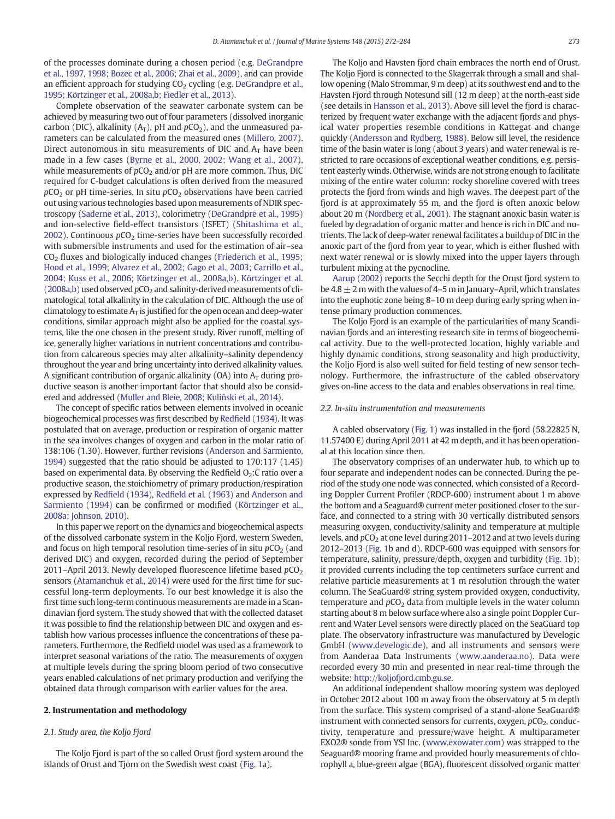of the processes dominate during a chosen period (e.g. [DeGrandpre](#page-11-0) [et al., 1997, 1998; Bozec et al., 2006; Zhai et al., 2009](#page-11-0)), and can provide an efficient approach for studying  $CO<sub>2</sub>$  cycling (e.g. [DeGrandpre et al.,](#page-11-0) [1995; Körtzinger et al., 2008a,b; Fiedler et al., 2013](#page-11-0)).

Complete observation of the seawater carbonate system can be achieved by measuring two out of four parameters (dissolved inorganic carbon (DIC), alkalinity ( $A_T$ ), pH and  $pCO_2$ ), and the unmeasured parameters can be calculated from the measured ones [\(Millero, 2007](#page-11-0)). Direct autonomous in situ measurements of DIC and  $A_T$  have been made in a few cases ([Byrne et al., 2000, 2002; Wang et al., 2007](#page-11-0)), while measurements of  $pCO<sub>2</sub>$  and/or pH are more common. Thus, DIC required for C-budget calculations is often derived from the measured  $pCO<sub>2</sub>$  or pH time-series. In situ  $pCO<sub>2</sub>$  observations have been carried out using various technologies based upon measurements of NDIR spectroscopy [\(Saderne et al., 2013\)](#page-12-0), colorimetry ([DeGrandpre et al., 1995](#page-11-0)) and ion-selective field-effect transistors (ISFET) ([Shitashima et al.,](#page-12-0) [2002\)](#page-12-0). Continuous  $pCO<sub>2</sub>$  time-series have been successfully recorded with submersible instruments and used for the estimation of air–sea  $CO<sub>2</sub>$  fluxes and biologically induced changes ([Friederich et al., 1995;](#page-11-0) [Hood et al., 1999; Alvarez et al., 2002; Gago et al., 2003; Carrillo et al.,](#page-11-0) [2004; Kuss et al., 2006; Körtzinger et al., 2008a,b\)](#page-11-0). [Körtzinger et al.](#page-11-0)  $(2008a,b)$  used observed  $pCO<sub>2</sub>$  and salinity-derived measurements of climatological total alkalinity in the calculation of DIC. Although the use of climatology to estimate  $A_T$  is justified for the open ocean and deep-water conditions, similar approach might also be applied for the coastal systems, like the one chosen in the present study. River runoff, melting of ice, generally higher variations in nutrient concentrations and contribution from calcareous species may alter alkalinity–salinity dependency throughout the year and bring uncertainty into derived alkalinity values. A significant contribution of organic alkalinity (OA) into  $A_T$  during productive season is another important factor that should also be considered and addressed ([Muller and Bleie, 2008; Kuli](#page-11-0)ński et al., 2014).

The concept of specific ratios between elements involved in oceanic biogeochemical processes was first described by Redfi[eld \(1934\)](#page-12-0). It was postulated that on average, production or respiration of organic matter in the sea involves changes of oxygen and carbon in the molar ratio of 138:106 (1.30). However, further revisions ([Anderson and Sarmiento,](#page-11-0) [1994\)](#page-11-0) suggested that the ratio should be adjusted to 170:117 (1.45) based on experimental data. By observing the Redfield  $O<sub>2</sub>$ : C ratio over a productive season, the stoichiometry of primary production/respiration expressed by Redfi[eld \(1934\)](#page-12-0), Redfi[eld et al. \(1963\)](#page-12-0) and [Anderson and](#page-11-0) [Sarmiento \(1994\)](#page-11-0) can be confirmed or modified ([Körtzinger et al.,](#page-11-0) [2008a; Johnson, 2010](#page-11-0)).

In this paper we report on the dynamics and biogeochemical aspects of the dissolved carbonate system in the Koljo Fjord, western Sweden, and focus on high temporal resolution time-series of in situ  $pCO<sub>2</sub>$  (and derived DIC) and oxygen, recorded during the period of September 2011–April 2013. Newly developed fluorescence lifetime based  $pCO<sub>2</sub>$ sensors ([Atamanchuk et al., 2014\)](#page-11-0) were used for the first time for successful long-term deployments. To our best knowledge it is also the first time such long-term continuous measurements are made in a Scandinavian fjord system. The study showed that with the collected dataset it was possible to find the relationship between DIC and oxygen and establish how various processes influence the concentrations of these parameters. Furthermore, the Redfield model was used as a framework to interpret seasonal variations of the ratio. The measurements of oxygen at multiple levels during the spring bloom period of two consecutive years enabled calculations of net primary production and verifying the obtained data through comparison with earlier values for the area.

# 2. Instrumentation and methodology

# 2.1. Study area, the Koljo Fjord

The Koljo Fjord is part of the so called Orust fjord system around the islands of Orust and Tjorn on the Swedish west coast ([Fig. 1](#page-2-0)a).

The Koljo and Havsten fjord chain embraces the north end of Orust. The Koljo Fjord is connected to the Skagerrak through a small and shallow opening (Malo Strommar, 9 m deep) at its southwest end and to the Havsten Fjord through Notesund sill (12 m deep) at the north-east side (see details in [Hansson et al., 2013\)](#page-11-0). Above sill level the fjord is characterized by frequent water exchange with the adjacent fjords and physical water properties resemble conditions in Kattegat and change quickly [\(Andersson and Rydberg, 1988\)](#page-11-0). Below sill level, the residence time of the basin water is long (about 3 years) and water renewal is restricted to rare occasions of exceptional weather conditions, e.g. persistent easterly winds. Otherwise, winds are not strong enough to facilitate mixing of the entire water column: rocky shoreline covered with trees protects the fjord from winds and high waves. The deepest part of the fjord is at approximately 55 m, and the fjord is often anoxic below about 20 m ([Nordberg et al., 2001](#page-11-0)). The stagnant anoxic basin water is fueled by degradation of organic matter and hence is rich in DIC and nutrients. The lack of deep-water renewal facilitates a buildup of DIC in the anoxic part of the fjord from year to year, which is either flushed with next water renewal or is slowly mixed into the upper layers through turbulent mixing at the pycnocline.

[Aarup \(2002\)](#page-11-0) reports the Secchi depth for the Orust fjord system to be  $4.8 \pm 2$  m with the values of 4–5 m in January–April, which translates into the euphotic zone being 8–10 m deep during early spring when intense primary production commences.

The Koljo Fjord is an example of the particularities of many Scandinavian fjords and an interesting research site in terms of biogeochemical activity. Due to the well-protected location, highly variable and highly dynamic conditions, strong seasonality and high productivity, the Koljo Fjord is also well suited for field testing of new sensor technology. Furthermore, the infrastructure of the cabled observatory gives on-line access to the data and enables observations in real time.

#### 2.2. In-situ instrumentation and measurements

A cabled observatory [\(Fig. 1\)](#page-2-0) was installed in the fjord (58.22825 N, 11.57400 E) during April 2011 at 42 m depth, and it has been operational at this location since then.

The observatory comprises of an underwater hub, to which up to four separate and independent nodes can be connected. During the period of the study one node was connected, which consisted of a Recording Doppler Current Profiler (RDCP-600) instrument about 1 m above the bottom and a Seaguard® current meter positioned closer to the surface, and connected to a string with 30 vertically distributed sensors measuring oxygen, conductivity/salinity and temperature at multiple levels, and  $pCO<sub>2</sub>$  at one level during 2011–2012 and at two levels during 2012–2013 [\(Fig. 1](#page-2-0)b and d). RDCP-600 was equipped with sensors for temperature, salinity, pressure/depth, oxygen and turbidity ([Fig. 1b](#page-2-0)); it provided currents including the top centimeters surface current and relative particle measurements at 1 m resolution through the water column. The SeaGuard® string system provided oxygen, conductivity, temperature and  $pCO<sub>2</sub>$  data from multiple levels in the water column starting about 8 m below surface where also a single point Doppler Current and Water Level sensors were directly placed on the SeaGuard top plate. The observatory infrastructure was manufactured by Develogic GmbH ([www.develogic.de](http://www.develogic.de)), and all instruments and sensors were from Aanderaa Data Instruments [\(www.aanderaa.no](http://www.aanderaa.no)). Data were recorded every 30 min and presented in near real-time through the website: <http://koljofjord.cmb.gu.se>.

An additional independent shallow mooring system was deployed in October 2012 about 100 m away from the observatory at 5 m depth from the surface. This system comprised of a stand-alone SeaGuard® instrument with connected sensors for currents, oxygen,  $pCO<sub>2</sub>$ , conductivity, temperature and pressure/wave height. A multiparameter EXO2® sonde from YSI Inc. ([www.exowater.com](http://www.exowater.com)) was strapped to the Seaguard® mooring frame and provided hourly measurements of chlorophyll a, blue-green algae (BGA), fluorescent dissolved organic matter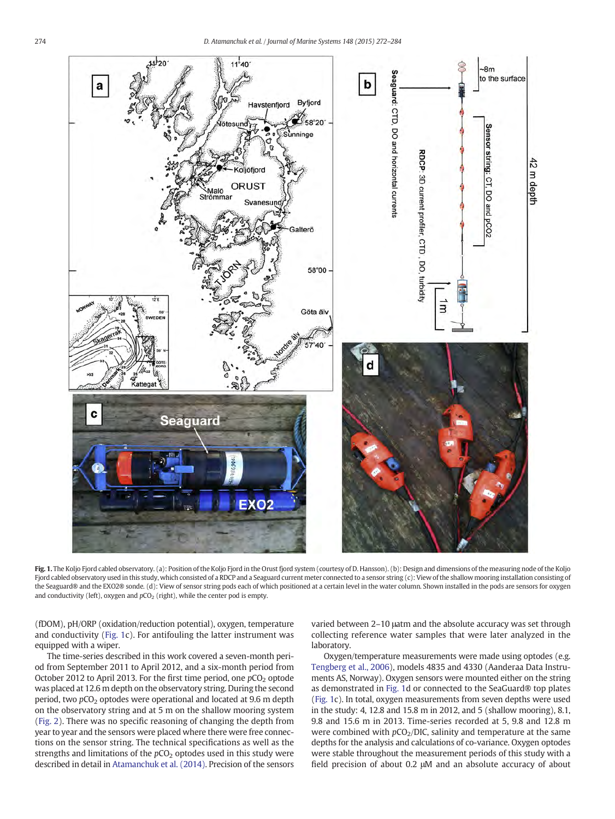<span id="page-2-0"></span>

Fig. 1. The Koljo Fjord cabled observatory. (a): Position of the Koljo Fjord in the Orust fjord system (courtesy of D. Hansson). (b): Design and dimensions of the measuring node of the Koljo Fjord cabled observatory used in this study, which consisted of a RDCP and a Seaguard current meter connected to a sensor string (c): View of the shallow mooring installation consisting of the Seaguard® and the EXO2® sonde. (d): View of sensor string pods each of which positioned at a certain level in the water column. Shown installed in the pods are sensors for oxygen and conductivity (left), oxygen and  $pCO<sub>2</sub>$  (right), while the center pod is empty.

(fDOM), pH/ORP (oxidation/reduction potential), oxygen, temperature and conductivity (Fig. 1c). For antifouling the latter instrument was equipped with a wiper.

The time-series described in this work covered a seven-month period from September 2011 to April 2012, and a six-month period from October 2012 to April 2013. For the first time period, one  $pCO<sub>2</sub>$  optode was placed at 12.6 m depth on the observatory string. During the second period, two  $pCO<sub>2</sub>$  optodes were operational and located at 9.6 m depth on the observatory string and at 5 m on the shallow mooring system [\(Fig. 2\)](#page-3-0). There was no specific reasoning of changing the depth from year to year and the sensors were placed where there were free connections on the sensor string. The technical specifications as well as the strengths and limitations of the  $pCO<sub>2</sub>$  optodes used in this study were described in detail in [Atamanchuk et al. \(2014\).](#page-11-0) Precision of the sensors varied between 2–10 μatm and the absolute accuracy was set through collecting reference water samples that were later analyzed in the laboratory.

Oxygen/temperature measurements were made using optodes (e.g. [Tengberg et al., 2006](#page-12-0)), models 4835 and 4330 (Aanderaa Data Instruments AS, Norway). Oxygen sensors were mounted either on the string as demonstrated in Fig. 1d or connected to the SeaGuard® top plates (Fig. 1c). In total, oxygen measurements from seven depths were used in the study: 4, 12.8 and 15.8 m in 2012, and 5 (shallow mooring), 8.1, 9.8 and 15.6 m in 2013. Time-series recorded at 5, 9.8 and 12.8 m were combined with  $pCO<sub>2</sub>/DIC$ , salinity and temperature at the same depths for the analysis and calculations of co-variance. Oxygen optodes were stable throughout the measurement periods of this study with a field precision of about 0.2 μM and an absolute accuracy of about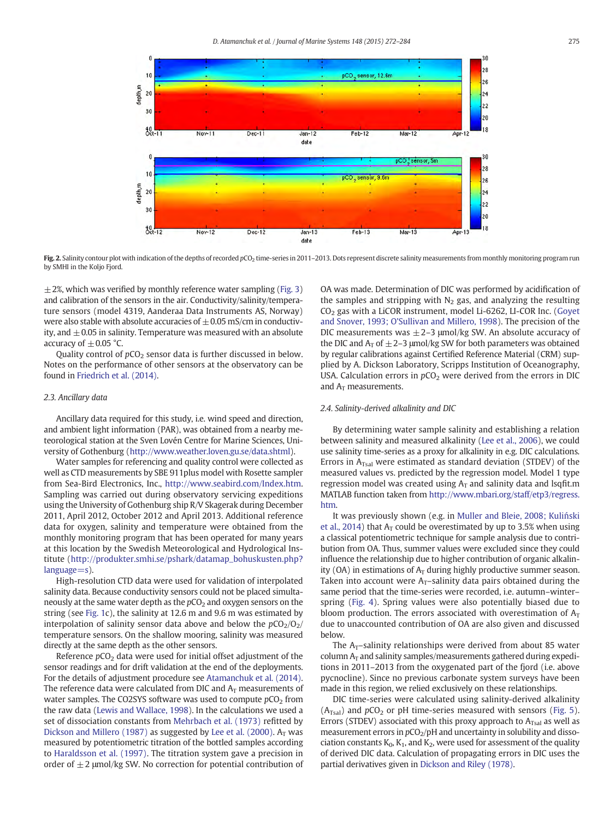<span id="page-3-0"></span>

Fig. 2. Salinity contour plot with indication of the depths of recorded pCO<sub>2</sub> time-series in 2011-2013. Dots represent discrete salinity measurements from monthly monitoring program run by SMHI in the Koljo Fjord.

 $\pm$  2%, which was verified by monthly reference water sampling ([Fig. 3](#page-4-0)) and calibration of the sensors in the air. Conductivity/salinity/temperature sensors (model 4319, Aanderaa Data Instruments AS, Norway) were also stable with absolute accuracies of  $\pm$  0.05 mS/cm in conductivity, and  $\pm$  0.05 in salinity. Temperature was measured with an absolute accuracy of  $+0.05$  °C.

Quality control of  $pCO<sub>2</sub>$  sensor data is further discussed in below. Notes on the performance of other sensors at the observatory can be found in [Friedrich et al. \(2014\).](#page-11-0)

#### 2.3. Ancillary data

Ancillary data required for this study, i.e. wind speed and direction, and ambient light information (PAR), was obtained from a nearby meteorological station at the Sven Lovén Centre for Marine Sciences, University of Gothenburg (<http://www.weather.loven.gu.se/data.shtml>).

Water samples for referencing and quality control were collected as well as CTD measurements by SBE 911plus model with Rosette sampler from Sea-Bird Electronics, Inc., [http://www.seabird.com/Index.htm.](http://www.seabird.com/Index.htm) Sampling was carried out during observatory servicing expeditions using the University of Gothenburg ship R/V Skagerak during December 2011, April 2012, October 2012 and April 2013. Additional reference data for oxygen, salinity and temperature were obtained from the monthly monitoring program that has been operated for many years at this location by the Swedish Meteorological and Hydrological Institute ([http://produkter.smhi.se/pshark/datamap\\_bohuskusten.php?](http://produkter.smhi.se/pshark/datamap_bohuskusten.php?language=s) [language=s\)](http://produkter.smhi.se/pshark/datamap_bohuskusten.php?language=s).

High-resolution CTD data were used for validation of interpolated salinity data. Because conductivity sensors could not be placed simultaneously at the same water depth as the  $pCO<sub>2</sub>$  and oxygen sensors on the string (see [Fig. 1](#page-2-0)c), the salinity at 12.6 m and 9.6 m was estimated by interpolation of salinity sensor data above and below the  $pCO<sub>2</sub>/O<sub>2</sub>$ temperature sensors. On the shallow mooring, salinity was measured directly at the same depth as the other sensors.

Reference  $pCO<sub>2</sub>$  data were used for initial offset adjustment of the sensor readings and for drift validation at the end of the deployments. For the details of adjustment procedure see [Atamanchuk et al. \(2014\).](#page-11-0) The reference data were calculated from DIC and  $A_T$  measurements of water samples. The CO2SYS software was used to compute  $pCO<sub>2</sub>$  from the raw data ([Lewis and Wallace, 1998](#page-11-0)). In the calculations we used a set of dissociation constants from [Mehrbach et al. \(1973\)](#page-11-0) refitted by [Dickson and Millero \(1987\)](#page-11-0) as suggested by [Lee et al. \(2000\)](#page-11-0).  $A_T$  was measured by potentiometric titration of the bottled samples according to [Haraldsson et al. \(1997\)](#page-11-0). The titration system gave a precision in order of  $\pm 2$  µmol/kg SW. No correction for potential contribution of

OA was made. Determination of DIC was performed by acidification of the samples and stripping with  $N_2$  gas, and analyzing the resulting  $CO<sub>2</sub>$  gas with a LiCOR instrument, model Li-6262, LI-COR Inc. (Govet [and Snover, 1993; O'Sullivan and Millero, 1998\)](#page-11-0). The precision of the DIC measurements was  $\pm$  2–3 µmol/kg SW. An absolute accuracy of the DIC and  $A_T$  of  $\pm$  2–3 µmol/kg SW for both parameters was obtained by regular calibrations against Certified Reference Material (CRM) supplied by A. Dickson Laboratory, Scripps Institution of Oceanography, USA. Calculation errors in  $pCO<sub>2</sub>$  were derived from the errors in DIC and  $A_T$  measurements.

# 2.4. Salinity-derived alkalinity and DIC

By determining water sample salinity and establishing a relation between salinity and measured alkalinity ([Lee et al., 2006\)](#page-11-0), we could use salinity time-series as a proxy for alkalinity in e.g. DIC calculations. Errors in  $A<sub>Tsal</sub>$  were estimated as standard deviation (STDEV) of the measured values vs. predicted by the regression model. Model 1 type regression model was created using  $A_T$  and salinity data and lsqfit.m MATLAB function taken from [http://www.mbari.org/staff/etp3/regress.](http://www.mbari.org/staff/etp3/regress.htm) [htm](http://www.mbari.org/staff/etp3/regress.htm).

It was previously shown (e.g. in [Muller and Bleie, 2008; Kuli](#page-11-0)ński [et al., 2014\)](#page-11-0) that  $A_T$  could be overestimated by up to 3.5% when using a classical potentiometric technique for sample analysis due to contribution from OA. Thus, summer values were excluded since they could influence the relationship due to higher contribution of organic alkalinity (OA) in estimations of  $A_T$  during highly productive summer season. Taken into account were  $A_T$ -salinity data pairs obtained during the same period that the time-series were recorded, i.e. autumn–winter– spring ([Fig. 4\)](#page-5-0). Spring values were also potentially biased due to bloom production. The errors associated with overestimation of  $A_T$ due to unaccounted contribution of OA are also given and discussed below.

The  $A_T$ -salinity relationships were derived from about 85 water column  $A_T$  and salinity samples/measurements gathered during expeditions in 2011–2013 from the oxygenated part of the fjord (i.e. above pycnocline). Since no previous carbonate system surveys have been made in this region, we relied exclusively on these relationships.

DIC time-series were calculated using salinity-derived alkalinity  $(A<sub>Tsal</sub>)$  and  $pCO<sub>2</sub>$  or pH time-series measured with sensors ([Fig. 5](#page-6-0)). Errors (STDEV) associated with this proxy approach to  $A_{Tsal}$  as well as measurement errors in  $pCO<sub>2</sub>/pH$  and uncertainty in solubility and dissociation constants  $K_0$ ,  $K_1$ , and  $K_2$ , were used for assessment of the quality of derived DIC data. Calculation of propagating errors in DIC uses the partial derivatives given in [Dickson and Riley \(1978\)](#page-11-0).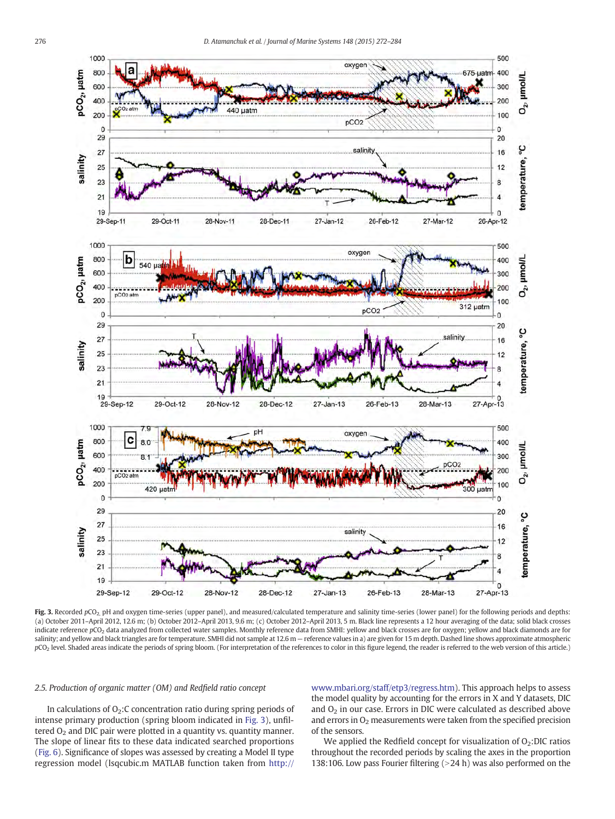<span id="page-4-0"></span>

Fig. 3. Recorded  $pCO<sub>2</sub>$  pH and oxygen time-series (upper panel), and measured/calculated temperature and salinity time-series (lower panel) for the following periods and depths: (a) October 2011–April 2012, 12.6 m; (b) October 2012–April 2013, 9.6 m; (c) October 2012–April 2013, 5 m. Black line represents a 12 hour averaging of the data; solid black crosses indicate reference pCO<sub>2</sub> data analyzed from collected water samples. Monthly reference data from SMHI: yellow and black crosses are for oxygen; yellow and black diamonds are for salinity; and yellow and black triangles are for temperature. SMHI did not sample at 12.6 m - reference values in a) are given for 15 m depth. Dashed line shows approximate atmospheric pCO<sub>2</sub> level. Shaded areas indicate the periods of spring bloom. (For interpretation of the references to color in this figure legend, the reader is referred to the web version of this article.)

# 2.5. Production of organic matter (OM) and Redfield ratio concept

In calculations of  $O_2$ : C concentration ratio during spring periods of intense primary production (spring bloom indicated in Fig. 3), unfiltered  $O<sub>2</sub>$  and DIC pair were plotted in a quantity vs. quantity manner. The slope of linear fits to these data indicated searched proportions [\(Fig. 6\)](#page-7-0). Significance of slopes was assessed by creating a Model II type regression model (lsqcubic.m MATLAB function taken from [http://](http://www.mbari.org/staff/etp3/regress.htm) [www.mbari.org/staff/etp3/regress.htm](http://www.mbari.org/staff/etp3/regress.htm)). This approach helps to assess the model quality by accounting for the errors in X and Y datasets, DIC and  $O<sub>2</sub>$  in our case. Errors in DIC were calculated as described above and errors in  $O<sub>2</sub>$  measurements were taken from the specified precision of the sensors.

We applied the Redfield concept for visualization of  $O<sub>2</sub>$ :DIC ratios throughout the recorded periods by scaling the axes in the proportion 138:106. Low pass Fourier filtering  $(>24$  h) was also performed on the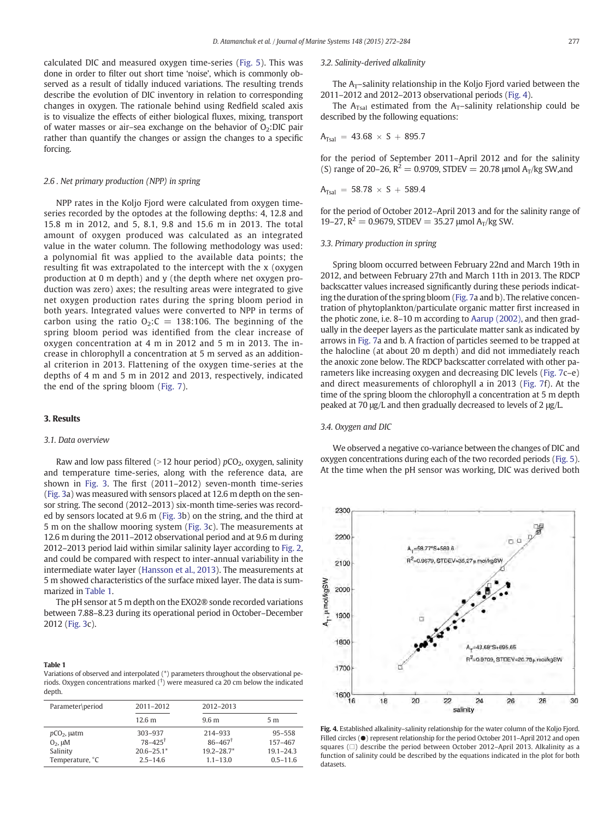<span id="page-5-0"></span>calculated DIC and measured oxygen time-series [\(Fig. 5](#page-6-0)). This was done in order to filter out short time 'noise', which is commonly observed as a result of tidally induced variations. The resulting trends describe the evolution of DIC inventory in relation to corresponding changes in oxygen. The rationale behind using Redfield scaled axis is to visualize the effects of either biological fluxes, mixing, transport of water masses or air-sea exchange on the behavior of  $O<sub>2</sub>$ :DIC pair rather than quantify the changes or assign the changes to a specific forcing.

# 2.6 . Net primary production (NPP) in spring

NPP rates in the Koljo Fjord were calculated from oxygen timeseries recorded by the optodes at the following depths: 4, 12.8 and 15.8 m in 2012, and 5, 8.1, 9.8 and 15.6 m in 2013. The total amount of oxygen produced was calculated as an integrated value in the water column. The following methodology was used: a polynomial fit was applied to the available data points; the resulting fit was extrapolated to the intercept with the x (oxygen production at 0 m depth) and y (the depth where net oxygen production was zero) axes; the resulting areas were integrated to give net oxygen production rates during the spring bloom period in both years. Integrated values were converted to NPP in terms of carbon using the ratio  $O_2$ : $C = 138:106$ . The beginning of the spring bloom period was identified from the clear increase of oxygen concentration at 4 m in 2012 and 5 m in 2013. The increase in chlorophyll a concentration at 5 m served as an additional criterion in 2013. Flattening of the oxygen time-series at the depths of 4 m and 5 m in 2012 and 2013, respectively, indicated the end of the spring bloom [\(Fig. 7\)](#page-8-0).

# 3. Results

# 3.1. Data overview

Raw and low pass filtered ( $>12$  hour period) pCO<sub>2</sub>, oxygen, salinity and temperature time-series, along with the reference data, are shown in [Fig. 3.](#page-4-0) The first (2011–2012) seven-month time-series [\(Fig. 3](#page-4-0)a) was measured with sensors placed at 12.6 m depth on the sensor string. The second (2012–2013) six-month time-series was recorded by sensors located at 9.6 m [\(Fig. 3](#page-4-0)b) on the string, and the third at 5 m on the shallow mooring system [\(Fig. 3](#page-4-0)c). The measurements at 12.6 m during the 2011–2012 observational period and at 9.6 m during 2012–2013 period laid within similar salinity layer according to [Fig. 2,](#page-3-0) and could be compared with respect to inter-annual variability in the intermediate water layer [\(Hansson et al., 2013\)](#page-11-0). The measurements at 5 m showed characteristics of the surface mixed layer. The data is summarized in Table 1.

The pH sensor at 5 m depth on the EXO2® sonde recorded variations between 7.88–8.23 during its operational period in October–December 2012 [\(Fig. 3c](#page-4-0)).

#### Table 1

Variations of observed and interpolated (\*) parameters throughout the observational periods. Oxygen concentrations marked († ) were measured ca 20 cm below the indicated depth.

| Parameter\period | 2011-2012            | 2012-2013               |               |
|------------------|----------------------|-------------------------|---------------|
|                  | 12.6 m               | 9.6 <sub>m</sub>        | 5 m           |
| $pCO2$ , µatm    | 303-937              | 214-933                 | $95 - 558$    |
| $O2$ , $\mu$ M   | $78 - 425^{\dagger}$ | $86 - 467$ <sup>†</sup> | 157-467       |
| Salinity         | $20.6 - 25.1*$       | $19.2 - 28.7*$          | $19.1 - 24.3$ |
| Temperature, °C  | $2.5 - 14.6$         | $1.1 - 13.0$            | $0.5 - 11.6$  |

#### 3.2. Salinity-derived alkalinity

The  $A_T$ –salinity relationship in the Koljo Fjord varied between the 2011–2012 and 2012–2013 observational periods (Fig. 4).

The A<sub>Tsal</sub> estimated from the A<sub>T</sub>-salinity relationship could be described by the following equations:

$$
A_{Tsal} = 43.68 \times S + 895.7
$$

for the period of September 2011–April 2012 and for the salinity (S) range of 20–26,  $R^2 = 0.9709$ , STDEV = 20.78 µmol A<sub>T</sub>/kg SW, and

$$
A_{Tsal} = 58.78 \times S + 589.4
$$

for the period of October 2012–April 2013 and for the salinity range of 19–27,  $R^2 = 0.9679$ , STDEV = 35.27 µmol A<sub>T</sub>/kg SW.

# 3.3. Primary production in spring

Spring bloom occurred between February 22nd and March 19th in 2012, and between February 27th and March 11th in 2013. The RDCP backscatter values increased significantly during these periods indicating the duration of the spring bloom [\(Fig. 7](#page-8-0)a and b). The relative concentration of phytoplankton/particulate organic matter first increased in the photic zone, i.e. 8–10 m according to [Aarup \(2002\),](#page-11-0) and then gradually in the deeper layers as the particulate matter sank as indicated by arrows in [Fig. 7a](#page-8-0) and b. A fraction of particles seemed to be trapped at the halocline (at about 20 m depth) and did not immediately reach the anoxic zone below. The RDCP backscatter correlated with other parameters like increasing oxygen and decreasing DIC levels ([Fig. 7c](#page-8-0)–e) and direct measurements of chlorophyll a in 2013 ([Fig. 7](#page-8-0)f). At the time of the spring bloom the chlorophyll a concentration at 5 m depth peaked at 70 μg/L and then gradually decreased to levels of 2 μg/L.

#### 3.4. Oxygen and DIC

We observed a negative co-variance between the changes of DIC and oxygen concentrations during each of the two recorded periods [\(Fig. 5](#page-6-0)). At the time when the pH sensor was working, DIC was derived both



Fig. 4. Established alkalinity–salinity relationship for the water column of the Koljo Fjord. Filled circles ( $\bullet$ ) represent relationship for the period October 2011–April 2012 and open squares (□) describe the period between October 2012-April 2013. Alkalinity as a function of salinity could be described by the equations indicated in the plot for both datasets.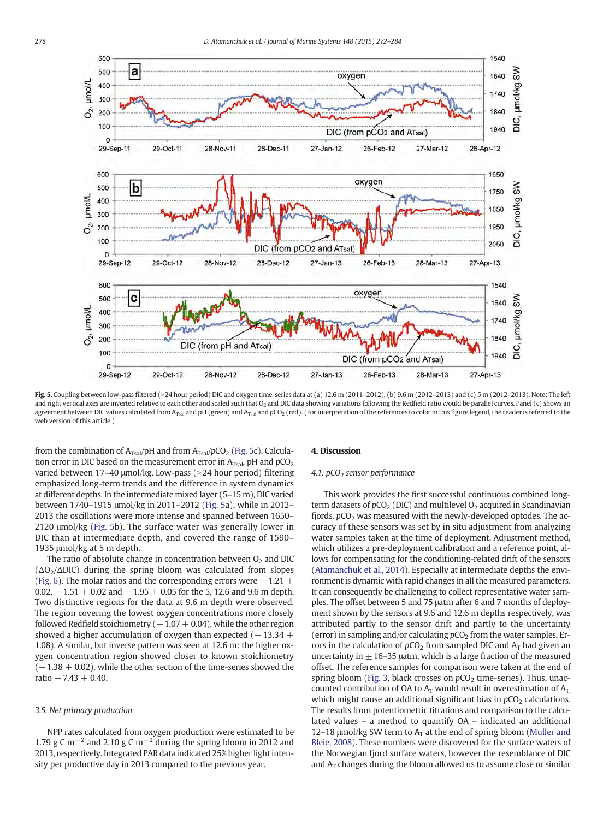<span id="page-6-0"></span>

Fig. 5. Coupling between low-pass filtered (>24 hour period) DIC and oxygen time-series data at (a) 12.6 m (2011-2012), (b) 9.6 m (2012-2013) and (c) 5 m (2012-2013). Note: The left and right vertical axes are inverted relative to each other and scaled such that O<sub>2</sub> and DIC data showing variations following the Redfield ratio would be parallel curves. Panel (c) shows an agreement between DIC values calculated from A<sub>Tsal</sub> and pH (green) and A<sub>Tsal</sub> and pCO<sub>2</sub> (red). (For interpretation of the references to color in this figure legend, the reader is referred to the web version of this article.)

from the combination of  $A_{Tsal}/pH$  and from  $A_{Tsal}/pCO_2$  (Fig. 5c). Calculation error in DIC based on the measurement error in  $A_{Tsal}$ , pH and  $pCO<sub>2</sub>$ varied between  $17-40$  µmol/kg. Low-pass (>24 hour period) filtering emphasized long-term trends and the difference in system dynamics at different depths. In the intermediate mixed layer (5–15 m), DIC varied between 1740–1915 μmol/kg in 2011–2012 (Fig. 5a), while in 2012– 2013 the oscillations were more intense and spanned between 1650– 2120 μmol/kg (Fig. 5b). The surface water was generally lower in DIC than at intermediate depth, and covered the range of 1590– 1935 μmol/kg at 5 m depth.

The ratio of absolute change in concentration between  $O<sub>2</sub>$  and DIC  $(\Delta O_2/\Delta DIC)$  during the spring bloom was calculated from slopes [\(Fig. 6](#page-7-0)). The molar ratios and the corresponding errors were  $-1.21 \pm 1.21$ 0.02,  $-1.51 \pm 0.02$  and  $-1.95 \pm 0.05$  for the 5, 12.6 and 9.6 m depth. Two distinctive regions for the data at 9.6 m depth were observed. The region covering the lowest oxygen concentrations more closely followed Redfield stoichiometry ( $-1.07 \pm 0.04$ ), while the other region showed a higher accumulation of oxygen than expected ( $-13.34 \pm 1$ 1.08). A similar, but inverse pattern was seen at 12.6 m: the higher oxygen concentration region showed closer to known stoichiometry  $(-1.38 \pm 0.02)$ , while the other section of the time-series showed the ratio  $-7.43 \pm 0.40$ .

# 3.5. Net primary production

NPP rates calculated from oxygen production were estimated to be 1.79 g C m<sup>-2</sup> and 2.10 g C m<sup>-2</sup> during the spring bloom in 2012 and 2013, respectively. Integrated PAR data indicated 25% higher light intensity per productive day in 2013 compared to the previous year.

# 4. Discussion

# 4.1.  $pCO<sub>2</sub>$  sensor performance

This work provides the first successful continuous combined longterm datasets of  $pCO<sub>2</sub>$  (DIC) and multilevel  $O<sub>2</sub>$  acquired in Scandinavian fjords.  $pCO<sub>2</sub>$  was measured with the newly-developed optodes. The accuracy of these sensors was set by in situ adjustment from analyzing water samples taken at the time of deployment. Adjustment method, which utilizes a pre-deployment calibration and a reference point, allows for compensating for the conditioning-related drift of the sensors [\(Atamanchuk et al., 2014\)](#page-11-0). Especially at intermediate depths the environment is dynamic with rapid changes in all the measured parameters. It can consequently be challenging to collect representative water samples. The offset between 5 and 75 μatm after 6 and 7 months of deployment shown by the sensors at 9.6 and 12.6 m depths respectively, was attributed partly to the sensor drift and partly to the uncertainty (error) in sampling and/or calculating  $pCO<sub>2</sub>$  from the water samples. Errors in the calculation of  $pCO<sub>2</sub>$  from sampled DIC and  $A<sub>T</sub>$  had given an uncertainty in  $\pm$  16–35 µatm, which is a large fraction of the measured offset. The reference samples for comparison were taken at the end of spring bloom [\(Fig. 3,](#page-4-0) black crosses on  $pCO<sub>2</sub>$  time-series). Thus, unaccounted contribution of OA to  $A_T$  would result in overestimation of  $A_T$ which might cause an additional significant bias in  $pCO<sub>2</sub>$  calculations. The results from potentiometric titrations and comparison to the calculated values – a method to quantify OA – indicated an additional 12–18  $\mu$ mol/kg SW term to A<sub>T</sub> at the end of spring bloom [\(Muller and](#page-11-0) [Bleie, 2008\)](#page-11-0). These numbers were discovered for the surface waters of the Norwegian fjord surface waters, however the resemblance of DIC and  $A_T$  changes during the bloom allowed us to assume close or similar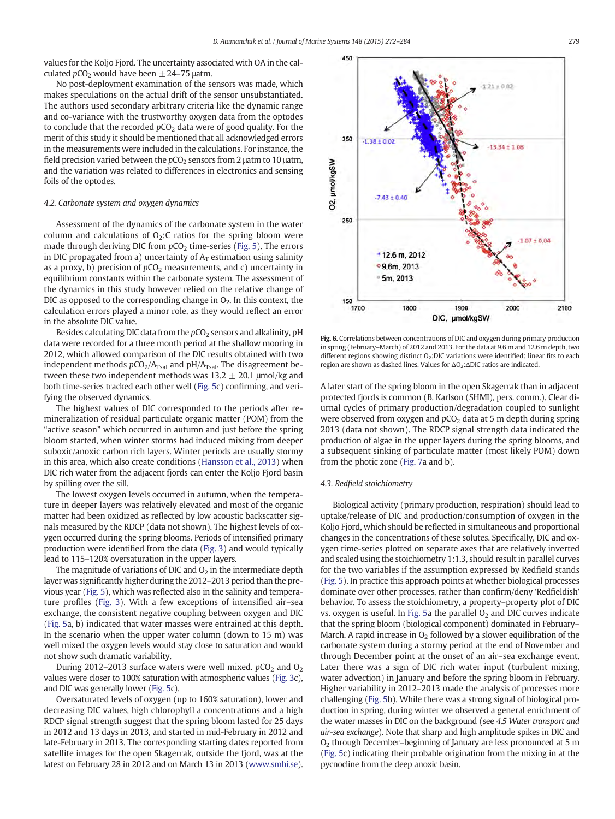<span id="page-7-0"></span>values for the Koljo Fjord. The uncertainty associated with OA in the calculated  $pCO<sub>2</sub>$  would have been  $\pm$  24–75 µatm.

No post-deployment examination of the sensors was made, which makes speculations on the actual drift of the sensor unsubstantiated. The authors used secondary arbitrary criteria like the dynamic range and co-variance with the trustworthy oxygen data from the optodes to conclude that the recorded  $pCO<sub>2</sub>$  data were of good quality. For the merit of this study it should be mentioned that all acknowledged errors in the measurements were included in the calculations. For instance, the field precision varied between the  $pCO<sub>2</sub>$  sensors from 2  $\mu$ atm to 10  $\mu$ atm, and the variation was related to differences in electronics and sensing foils of the optodes.

# 4.2. Carbonate system and oxygen dynamics

Assessment of the dynamics of the carbonate system in the water column and calculations of  $O<sub>2</sub>$ : C ratios for the spring bloom were made through deriving DIC from  $pCO<sub>2</sub>$  time-series ([Fig. 5\)](#page-6-0). The errors in DIC propagated from a) uncertainty of  $A_T$  estimation using salinity as a proxy, b) precision of  $pCO<sub>2</sub>$  measurements, and c) uncertainty in equilibrium constants within the carbonate system. The assessment of the dynamics in this study however relied on the relative change of DIC as opposed to the corresponding change in  $O<sub>2</sub>$ . In this context, the calculation errors played a minor role, as they would reflect an error in the absolute DIC value.

Besides calculating DIC data from the  $pCO<sub>2</sub>$  sensors and alkalinity, pH data were recorded for a three month period at the shallow mooring in 2012, which allowed comparison of the DIC results obtained with two independent methods  $pCO<sub>2</sub>/A<sub>Tsal</sub>$  and  $pH/A<sub>Tsal</sub>$ . The disagreement between these two independent methods was  $13.2 \pm 20.1$  µmol/kg and both time-series tracked each other well [\(Fig. 5c](#page-6-0)) confirming, and verifying the observed dynamics.

The highest values of DIC corresponded to the periods after remineralization of residual particulate organic matter (POM) from the "active season" which occurred in autumn and just before the spring bloom started, when winter storms had induced mixing from deeper suboxic/anoxic carbon rich layers. Winter periods are usually stormy in this area, which also create conditions [\(Hansson et al., 2013](#page-11-0)) when DIC rich water from the adjacent fjords can enter the Koljo Fjord basin by spilling over the sill.

The lowest oxygen levels occurred in autumn, when the temperature in deeper layers was relatively elevated and most of the organic matter had been oxidized as reflected by low acoustic backscatter signals measured by the RDCP (data not shown). The highest levels of oxygen occurred during the spring blooms. Periods of intensified primary production were identified from the data [\(Fig. 3](#page-4-0)) and would typically lead to 115–120% oversaturation in the upper layers.

The magnitude of variations of DIC and  $O<sub>2</sub>$  in the intermediate depth layer was significantly higher during the 2012–2013 period than the previous year ([Fig. 5\)](#page-6-0), which was reflected also in the salinity and temperature profiles ([Fig. 3](#page-4-0)). With a few exceptions of intensified air–sea exchange, the consistent negative coupling between oxygen and DIC [\(Fig. 5](#page-6-0)a, b) indicated that water masses were entrained at this depth. In the scenario when the upper water column (down to  $15 \text{ m}$ ) was well mixed the oxygen levels would stay close to saturation and would not show such dramatic variability.

During 2012–2013 surface waters were well mixed.  $pCO<sub>2</sub>$  and  $O<sub>2</sub>$ values were closer to 100% saturation with atmospheric values ([Fig. 3c](#page-4-0)), and DIC was generally lower [\(Fig. 5](#page-6-0)c).

Oversaturated levels of oxygen (up to 160% saturation), lower and decreasing DIC values, high chlorophyll a concentrations and a high RDCP signal strength suggest that the spring bloom lasted for 25 days in 2012 and 13 days in 2013, and started in mid-February in 2012 and late-February in 2013. The corresponding starting dates reported from satellite images for the open Skagerrak, outside the fjord, was at the latest on February 28 in 2012 and on March 13 in 2013 [\(www.smhi.se](http://www.smhi.se)).



Fig. 6. Correlations between concentrations of DIC and oxygen during primary production in spring (February–March) of 2012 and 2013. For the data at 9.6 m and 12.6 m depth, two different regions showing distinct  $O<sub>2</sub>$ :DIC variations were identified: linear fits to each region are shown as dashed lines. Values for ΔO<sub>2</sub>: ΔDIC ratios are indicated.

A later start of the spring bloom in the open Skagerrak than in adjacent protected fjords is common (B. Karlson (SHMI), pers. comm.). Clear diurnal cycles of primary production/degradation coupled to sunlight were observed from oxygen and  $pCO<sub>2</sub>$  data at 5 m depth during spring 2013 (data not shown). The RDCP signal strength data indicated the production of algae in the upper layers during the spring blooms, and a subsequent sinking of particulate matter (most likely POM) down from the photic zone ([Fig. 7](#page-8-0)a and b).

# 4.3. Redfield stoichiometry

Biological activity (primary production, respiration) should lead to uptake/release of DIC and production/consumption of oxygen in the Koljo Fjord, which should be reflected in simultaneous and proportional changes in the concentrations of these solutes. Specifically, DIC and oxygen time-series plotted on separate axes that are relatively inverted and scaled using the stoichiometry 1:1.3, should result in parallel curves for the two variables if the assumption expressed by Redfield stands [\(Fig. 5](#page-6-0)). In practice this approach points at whether biological processes dominate over other processes, rather than confirm/deny 'Redfieldish' behavior. To assess the stoichiometry, a property–property plot of DIC vs. oxygen is useful. In [Fig. 5](#page-6-0)a the parallel  $O<sub>2</sub>$  and DIC curves indicate that the spring bloom (biological component) dominated in February– March. A rapid increase in  $O<sub>2</sub>$  followed by a slower equilibration of the carbonate system during a stormy period at the end of November and through December point at the onset of an air–sea exchange event. Later there was a sign of DIC rich water input (turbulent mixing, water advection) in January and before the spring bloom in February. Higher variability in 2012–2013 made the analysis of processes more challenging ([Fig. 5](#page-6-0)b). While there was a strong signal of biological production in spring, during winter we observed a general enrichment of the water masses in DIC on the background (see 4.5 Water transport and air-sea exchange). Note that sharp and high amplitude spikes in DIC and O2 through December–beginning of January are less pronounced at 5 m [\(Fig. 5c](#page-6-0)) indicating their probable origination from the mixing in at the pycnocline from the deep anoxic basin.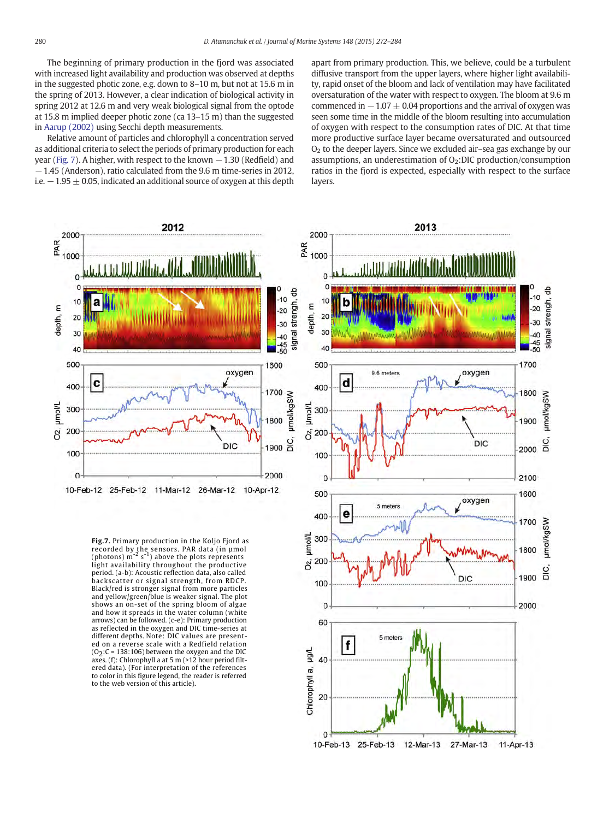<span id="page-8-0"></span>The beginning of primary production in the fjord was associated with increased light availability and production was observed at depths in the suggested photic zone, e.g. down to 8–10 m, but not at 15.6 m in the spring of 2013. However, a clear indication of biological activity in spring 2012 at 12.6 m and very weak biological signal from the optode at 15.8 m implied deeper photic zone (ca 13–15 m) than the suggested in [Aarup \(2002\)](#page-11-0) using Secchi depth measurements.

Relative amount of particles and chlorophyll a concentration served as additional criteria to select the periods of primary production for each year (Fig. 7). A higher, with respect to the known  $-1.30$  (Redfield) and −1.45 (Anderson), ratio calculated from the 9.6 m time-series in 2012, i.e.  $-1.95 \pm 0.05$ , indicated an additional source of oxygen at this depth apart from primary production. This, we believe, could be a turbulent diffusive transport from the upper layers, where higher light availability, rapid onset of the bloom and lack of ventilation may have facilitated oversaturation of the water with respect to oxygen. The bloom at 9.6 m commenced in  $-1.07 \pm 0.04$  proportions and the arrival of oxygen was seen some time in the middle of the bloom resulting into accumulation of oxygen with respect to the consumption rates of DIC. At that time more productive surface layer became oversaturated and outsourced  $O<sub>2</sub>$  to the deeper layers. Since we excluded air–sea gas exchange by our assumptions, an underestimation of  $O_2$ :DIC production/consumption ratios in the fjord is expected, especially with respect to the surface layers.



**Fig.7.** Primary production in the Koljo Fjord as recorded by the sensors. PAR data (in µmol (photons) m-2 s-1) above the plots represents light availability throughout the productive period. (a-b): Acoustic reflection data, also called backscatter or signal strength, from RDCP. Black/red is stronger signal from more particles and yellow/green/blue is weaker signal. The plot shows an on-set of the spring bloom of algae and how it spreads in the water column (white arrows) can be followed. (c-e): Primary production as reflected in the oxygen and DIC time-series at different depths. Note: DIC values are presented on a reverse scale with a Redfield relation  $(0<sub>2</sub>:C = 138:106)$  between the oxygen and the DIC axes. (f): Chlorophyll a at 5 m (>12 hour period filtered data). (For interpretation of the references to color in this figure legend, the reader is referred to the web version of this article).

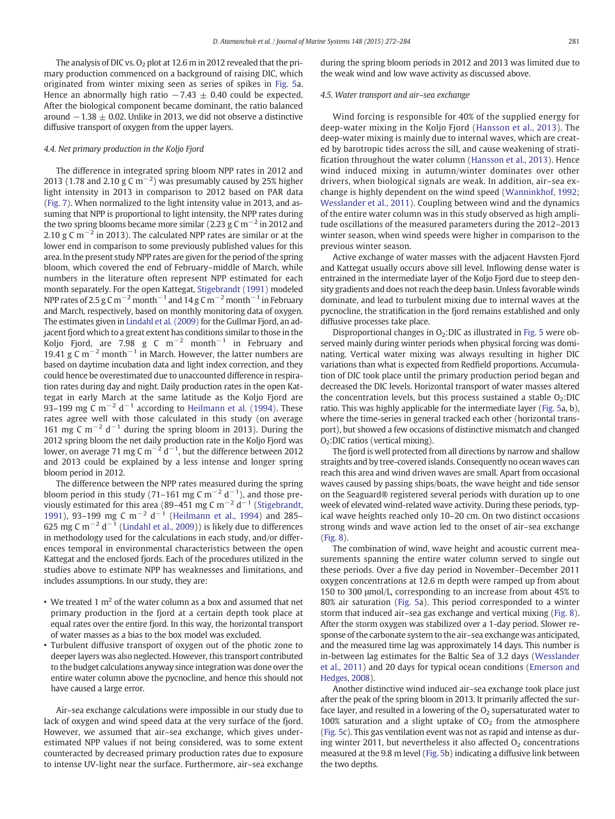The analysis of DIC vs.  $O<sub>2</sub>$  plot at 12.6 m in 2012 revealed that the primary production commenced on a background of raising DIC, which originated from winter mixing seen as series of spikes in [Fig. 5a](#page-6-0). Hence an abnormally high ratio  $-7.43 \pm 0.40$  could be expected. After the biological component became dominant, the ratio balanced around  $-1.38 \pm 0.02$ . Unlike in 2013, we did not observe a distinctive diffusive transport of oxygen from the upper layers.

# 4.4. Net primary production in the Koljo Fjord

The difference in integrated spring bloom NPP rates in 2012 and 2013 (1.78 and 2.10 g C m<sup>-2</sup>) was presumably caused by 25% higher light intensity in 2013 in comparison to 2012 based on PAR data [\(Fig. 7\)](#page-8-0). When normalized to the light intensity value in 2013, and assuming that NPP is proportional to light intensity, the NPP rates during the two spring blooms became more similar (2.23 g C m<sup>-2</sup> in 2012 and 2.10 g C m<sup> $-2$ </sup> in 2013). The calculated NPP rates are similar or at the lower end in comparison to some previously published values for this area. In the present study NPP rates are given for the period of the spring bloom, which covered the end of February–middle of March, while numbers in the literature often represent NPP estimated for each month separately. For the open Kattegat, [Stigebrandt \(1991\)](#page-12-0) modeled NPP rates of 2.5 g C m<sup>-2</sup> month<sup>-1</sup> and 14 g C m<sup>-2</sup> month<sup>-1</sup> in February and March, respectively, based on monthly monitoring data of oxygen. The estimates given in [Lindahl et al. \(2009\)](#page-11-0) for the Gullmar Fjord, an adjacent fjord which to a great extent has conditions similar to those in the Koljo Fjord, are 7.98 g C m<sup>-2</sup> month<sup>-1</sup> in February and 19.41 g C m<sup>-2</sup> month<sup>-1</sup> in March. However, the latter numbers are based on daytime incubation data and light index correction, and they could hence be overestimated due to unaccounted difference in respiration rates during day and night. Daily production rates in the open Kattegat in early March at the same latitude as the Koljo Fjord are 93–199 mg C m<sup>-2</sup> d<sup>-1</sup> according to [Heilmann et al. \(1994\).](#page-11-0) These rates agree well with those calculated in this study (on average 161 mg C m<sup>-2</sup> d<sup>-1</sup> during the spring bloom in 2013). During the 2012 spring bloom the net daily production rate in the Koljo Fjord was lower, on average 71 mg C m $^{-2}$  d $^{-1}$ , but the difference between 2012 and 2013 could be explained by a less intense and longer spring bloom period in 2012.

The difference between the NPP rates measured during the spring bloom period in this study (71–161 mg C m<sup>-2</sup> d<sup>-1</sup>), and those pre-viously estimated for this area (89–451 mg C m<sup>-2</sup> d<sup>-1</sup> [\(Stigebrandt,](#page-12-0) [1991\)](#page-12-0), 93–199 mg C m<sup>-2</sup> d<sup>-1</sup> ([Heilmann et al., 1994\)](#page-11-0) and 285– 625 mg C m<sup>-2</sup> d<sup>-1</sup> ([Lindahl et al., 2009](#page-11-0))) is likely due to differences in methodology used for the calculations in each study, and/or differences temporal in environmental characteristics between the open Kattegat and the enclosed fjords. Each of the procedures utilized in the studies above to estimate NPP has weaknesses and limitations, and includes assumptions. In our study, they are:

- We treated 1  $m<sup>2</sup>$  of the water column as a box and assumed that net primary production in the fjord at a certain depth took place at equal rates over the entire fjord. In this way, the horizontal transport of water masses as a bias to the box model was excluded.
- Turbulent diffusive transport of oxygen out of the photic zone to deeper layers was also neglected. However, this transport contributed to the budget calculations anyway since integration was done over the entire water column above the pycnocline, and hence this should not have caused a large error.

Air–sea exchange calculations were impossible in our study due to lack of oxygen and wind speed data at the very surface of the fjord. However, we assumed that air–sea exchange, which gives underestimated NPP values if not being considered, was to some extent counteracted by decreased primary production rates due to exposure to intense UV-light near the surface. Furthermore, air–sea exchange

during the spring bloom periods in 2012 and 2013 was limited due to the weak wind and low wave activity as discussed above.

# 4.5. Water transport and air–sea exchange

Wind forcing is responsible for 40% of the supplied energy for deep-water mixing in the Koljo Fjord [\(Hansson et al., 2013](#page-11-0)). The deep-water mixing is mainly due to internal waves, which are created by barotropic tides across the sill, and cause weakening of stratification throughout the water column ([Hansson et al., 2013\)](#page-11-0). Hence wind induced mixing in autumn/winter dominates over other drivers, when biological signals are weak. In addition, air–sea exchange is highly dependent on the wind speed ([Wanninkhof, 1992;](#page-12-0) [Wesslander et al., 2011](#page-12-0)). Coupling between wind and the dynamics of the entire water column was in this study observed as high amplitude oscillations of the measured parameters during the 2012–2013 winter season, when wind speeds were higher in comparison to the previous winter season.

Active exchange of water masses with the adjacent Havsten Fjord and Kattegat usually occurs above sill level. Inflowing dense water is entrained in the intermediate layer of the Koljo Fjord due to steep density gradients and does not reach the deep basin. Unless favorable winds dominate, and lead to turbulent mixing due to internal waves at the pycnocline, the stratification in the fjord remains established and only diffusive processes take place.

Disproportional changes in  $O<sub>2</sub>$ :DIC as illustrated in [Fig. 5](#page-6-0) were observed mainly during winter periods when physical forcing was dominating. Vertical water mixing was always resulting in higher DIC variations than what is expected from Redfield proportions. Accumulation of DIC took place until the primary production period began and decreased the DIC levels. Horizontal transport of water masses altered the concentration levels, but this process sustained a stable  $O_2$ :DIC ratio. This was highly applicable for the intermediate layer [\(Fig. 5a](#page-6-0), b), where the time-series in general tracked each other (horizontal transport), but showed a few occasions of distinctive mismatch and changed O2:DIC ratios (vertical mixing).

The fjord is well protected from all directions by narrow and shallow straights and by tree-covered islands. Consequently no ocean waves can reach this area and wind driven waves are small. Apart from occasional waves caused by passing ships/boats, the wave height and tide sensor on the Seaguard® registered several periods with duration up to one week of elevated wind-related wave activity. During these periods, typical wave heights reached only 10–20 cm. On two distinct occasions strong winds and wave action led to the onset of air–sea exchange [\(Fig. 8\)](#page-10-0).

The combination of wind, wave height and acoustic current measurements spanning the entire water column served to single out these periods. Over a five day period in November–December 2011 oxygen concentrations at 12.6 m depth were ramped up from about 150 to 300 μmol/L, corresponding to an increase from about 45% to 80% air saturation ([Fig. 5](#page-6-0)a). This period corresponded to a winter storm that induced air–sea gas exchange and vertical mixing [\(Fig. 8](#page-10-0)). After the storm oxygen was stabilized over a 1-day period. Slower response of the carbonate system to the air–sea exchange was anticipated, and the measured time lag was approximately 14 days. This number is in-between lag estimates for the Baltic Sea of 3.2 days [\(Wesslander](#page-12-0) [et al., 2011](#page-12-0)) and 20 days for typical ocean conditions [\(Emerson and](#page-11-0) [Hedges, 2008](#page-11-0)).

Another distinctive wind induced air–sea exchange took place just after the peak of the spring bloom in 2013. It primarily affected the surface layer, and resulted in a lowering of the  $O<sub>2</sub>$  supersaturated water to 100% saturation and a slight uptake of  $CO<sub>2</sub>$  from the atmosphere [\(Fig. 5](#page-6-0)c). This gas ventilation event was not as rapid and intense as during winter 2011, but nevertheless it also affected  $O<sub>2</sub>$  concentrations measured at the 9.8 m level ([Fig. 5b](#page-6-0)) indicating a diffusive link between the two depths.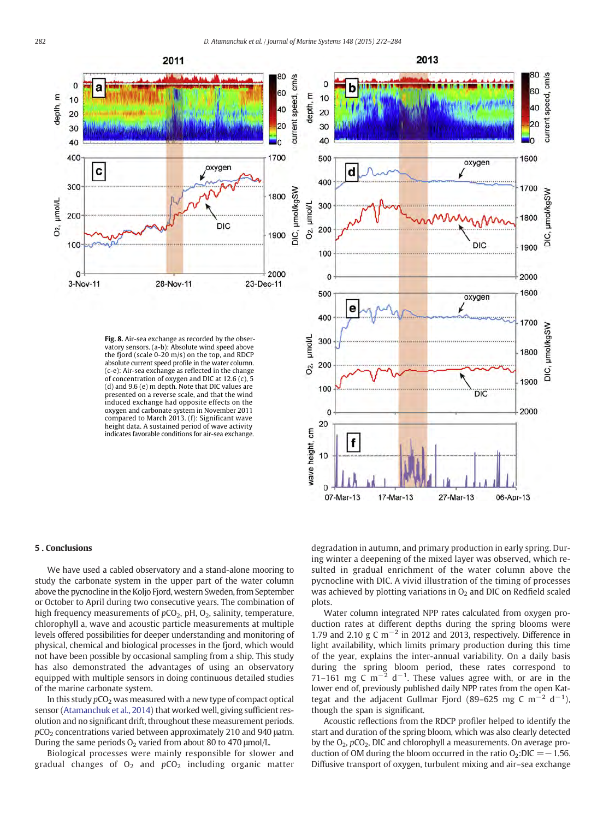<span id="page-10-0"></span>

**Fig. 8.** Air-sea exchange as recorded by the obser-vatory sensors. (a-b): Absolute wind speed above the fjord (scale  $0-20$  m/s) on the top, and RDCP absolute current speed profile in the water column. (c-e): Air-sea exchange as reflected in the change of concentration of oxygen and DIC at 12.6 (c), 5 (d) and 9.6 (e) m depth. Note that DIC values are presented on a reverse scale, and that the wind induced exchange had opposite effects on the oxygen and carbonate system in November 2011 compared to March 2013. (f): Significant wave height data. A sustained period of wave activity indicates favorable conditions for air-sea exchange.



2013

#### 5 . Conclusions

We have used a cabled observatory and a stand-alone mooring to study the carbonate system in the upper part of the water column above the pycnocline in the Koljo Fjord, western Sweden, from September or October to April during two consecutive years. The combination of high frequency measurements of  $pCO<sub>2</sub>$ , pH,  $O<sub>2</sub>$ , salinity, temperature, chlorophyll a, wave and acoustic particle measurements at multiple levels offered possibilities for deeper understanding and monitoring of physical, chemical and biological processes in the fjord, which would not have been possible by occasional sampling from a ship. This study has also demonstrated the advantages of using an observatory equipped with multiple sensors in doing continuous detailed studies of the marine carbonate system.

In this study  $pCO<sub>2</sub>$  was measured with a new type of compact optical sensor ([Atamanchuk et al., 2014\)](#page-11-0) that worked well, giving sufficient resolution and no significant drift, throughout these measurement periods.  $pCO<sub>2</sub>$  concentrations varied between approximately 210 and 940  $\mu$ atm. During the same periods  $O<sub>2</sub>$  varied from about 80 to 470  $\mu$ mol/L.

Biological processes were mainly responsible for slower and gradual changes of  $O_2$  and  $pCO_2$  including organic matter degradation in autumn, and primary production in early spring. During winter a deepening of the mixed layer was observed, which resulted in gradual enrichment of the water column above the pycnocline with DIC. A vivid illustration of the timing of processes was achieved by plotting variations in  $O<sub>2</sub>$  and DIC on Redfield scaled plots.

Water column integrated NPP rates calculated from oxygen production rates at different depths during the spring blooms were 1.79 and 2.10 g C m<sup>-2</sup> in 2012 and 2013, respectively. Difference in light availability, which limits primary production during this time of the year, explains the inter-annual variability. On a daily basis during the spring bloom period, these rates correspond to 71–161 mg C m<sup>-2</sup> d<sup>-1</sup>. These values agree with, or are in the lower end of, previously published daily NPP rates from the open Kattegat and the adjacent Gullmar Fjord (89–625 mg C m<sup>-2</sup> d<sup>-1</sup>), though the span is significant.

Acoustic reflections from the RDCP profiler helped to identify the start and duration of the spring bloom, which was also clearly detected by the  $O_2$ ,  $pCO_2$ , DIC and chlorophyll a measurements. On average production of OM during the bloom occurred in the ratio  $O_2$ :DIC = -1.56. Diffusive transport of oxygen, turbulent mixing and air–sea exchange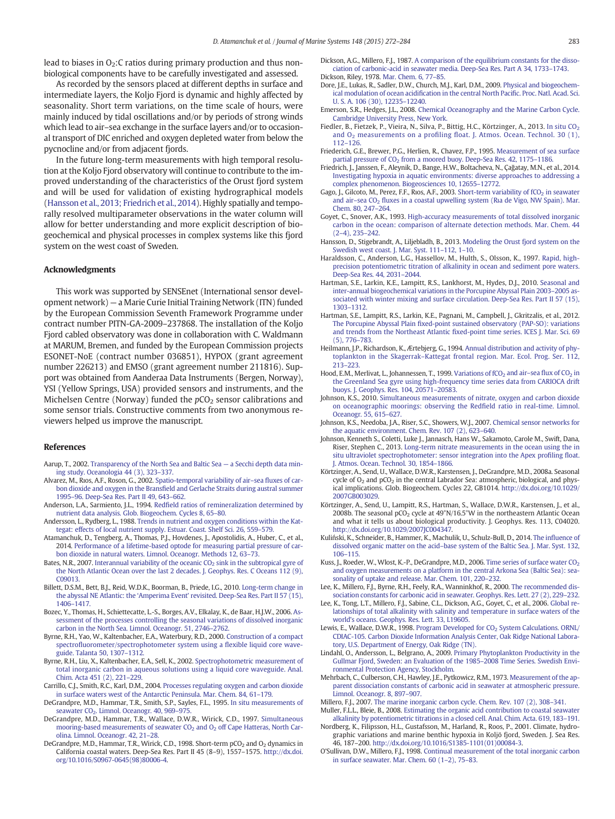<span id="page-11-0"></span>lead to biases in  $O<sub>2</sub>$ : C ratios during primary production and thus nonbiological components have to be carefully investigated and assessed.

As recorded by the sensors placed at different depths in surface and intermediate layers, the Koljo Fjord is dynamic and highly affected by seasonality. Short term variations, on the time scale of hours, were mainly induced by tidal oscillations and/or by periods of strong winds which lead to air–sea exchange in the surface layers and/or to occasional transport of DIC enriched and oxygen depleted water from below the pycnocline and/or from adjacent fjords.

In the future long-term measurements with high temporal resolution at the Koljo Fjord observatory will continue to contribute to the improved understanding of the characteristics of the Orust fjord system and will be used for validation of existing hydrographical models (Hansson et al., 2013; Friedrich et al., 2014). Highly spatially and temporally resolved multiparameter observations in the water column will allow for better understanding and more explicit description of biogeochemical and physical processes in complex systems like this fjord system on the west coast of Sweden.

# Acknowledgments

This work was supported by SENSEnet (International sensor development network) — a Marie Curie Initial Training Network (ITN) funded by the European Commission Seventh Framework Programme under contract number PITN-GA-2009–237868. The installation of the Koljo Fjord cabled observatory was done in collaboration with C. Waldmann at MARUM, Bremen, and funded by the European Commission projects ESONET-NoE (contract number 036851), HYPOX (grant agreement number 226213) and EMSO (grant agreement number 211816). Support was obtained from Aanderaa Data Instruments (Bergen, Norway), YSI (Yellow Springs, USA) provided sensors and instruments, and the Michelsen Centre (Norway) funded the  $pCO<sub>2</sub>$  sensor calibrations and some sensor trials. Constructive comments from two anonymous reviewers helped us improve the manuscript.

### References

- Aarup, T., 2002. [Transparency of the North Sea and Baltic Sea](http://refhub.elsevier.com/S0924-7963(15)00042-1/rf0005) a Secchi depth data min[ing study. Oceanologia 44 \(3\), 323](http://refhub.elsevier.com/S0924-7963(15)00042-1/rf0005)–337.
- Alvarez, M., Rıos, A.F., Roson, G., 2002. [Spatio-temporal variability of air](http://refhub.elsevier.com/S0924-7963(15)00042-1/rf0010)–sea fluxes of carbon dioxide and oxygen in the Bransfi[eld and Gerlache Straits during austral summer](http://refhub.elsevier.com/S0924-7963(15)00042-1/rf0010) 1995–[96. Deep-Sea Res. Part II 49, 643](http://refhub.elsevier.com/S0924-7963(15)00042-1/rf0010)–662.
- Anderson, L.A., Sarmiento, J.L., 1994. Redfi[eld ratios of remineralization determined by](http://refhub.elsevier.com/S0924-7963(15)00042-1/rf0015) [nutrient data analysis. Glob. Biogeochem. Cycles 8, 65](http://refhub.elsevier.com/S0924-7963(15)00042-1/rf0015)–80.
- Andersson, L., Rydberg, L., 1988. [Trends in nutrient and oxygen conditions within the Kat](http://refhub.elsevier.com/S0924-7963(15)00042-1/rf0020)[tegat: effects of local nutrient supply. Estuar. Coast. Shelf Sci. 26, 559](http://refhub.elsevier.com/S0924-7963(15)00042-1/rf0020)–579.
- Atamanchuk, D., Tengberg, A., Thomas, P.J., Hovdenes, J., Apostolidis, A., Huber, C., et al., 2014. [Performance of a lifetime-based optode for measuring partial pressure of car](http://refhub.elsevier.com/S0924-7963(15)00042-1/rf0025)[bon dioxide in natural waters. Limnol. Oceanogr. Methods 12, 63](http://refhub.elsevier.com/S0924-7963(15)00042-1/rf0025)–73.
- Bates, N.R., 2007. Interannual variability of the oceanic  $CO<sub>2</sub>$  [sink in the subtropical gyre of](http://refhub.elsevier.com/S0924-7963(15)00042-1/rf0030) [the North Atlantic Ocean over the last 2 decades. J. Geophys. Res. C Oceans 112 \(9\),](http://refhub.elsevier.com/S0924-7963(15)00042-1/rf0030) [C09013](http://refhub.elsevier.com/S0924-7963(15)00042-1/rf0030).
- Billett, D.S.M., Bett, B.J., Reid, W.D.K., Boorman, B., Priede, I.G., 2010. [Long-term change in](http://refhub.elsevier.com/S0924-7963(15)00042-1/rf0035) the abyssal NE Atlantic: the 'Amperima Event' [revisited. Deep-Sea Res. Part II 57 \(15\),](http://refhub.elsevier.com/S0924-7963(15)00042-1/rf0035) [1406](http://refhub.elsevier.com/S0924-7963(15)00042-1/rf0035)–1417.
- Bozec, Y., Thomas, H., Schiettecatte, L.-S., Borges, A.V., Elkalay, K., de Baar, H.J.W., 2006. [As](http://refhub.elsevier.com/S0924-7963(15)00042-1/rf0040)[sessment of the processes controlling the seasonal variations of dissolved inorganic](http://refhub.elsevier.com/S0924-7963(15)00042-1/rf0040) [carbon in the North Sea. Limnol. Oceanogr. 51, 2746](http://refhub.elsevier.com/S0924-7963(15)00042-1/rf0040)–2762.
- Byrne, R.H., Yao, W., Kaltenbacher, E.A., Waterbury, R.D., 2000. [Construction of a compact](http://refhub.elsevier.com/S0924-7963(15)00042-1/rf0045) spectrofl[uorometer/spectrophotometer system using a](http://refhub.elsevier.com/S0924-7963(15)00042-1/rf0045) flexible liquid core wave[guide. Talanta 50, 1307](http://refhub.elsevier.com/S0924-7963(15)00042-1/rf0045)–1312.
- Byrne, R.H., Liu, X., Kaltenbacher, E.A., Sell, K., 2002. [Spectrophotometric measurement of](http://refhub.elsevier.com/S0924-7963(15)00042-1/rf0050) [total inorganic carbon in aqueous solutions using a liquid core waveguide. Anal.](http://refhub.elsevier.com/S0924-7963(15)00042-1/rf0050) [Chim. Acta 451 \(2\), 221](http://refhub.elsevier.com/S0924-7963(15)00042-1/rf0050)–229.
- Carrillo, C.J., Smith, R.C., Karl, D.M., 2004. [Processes regulating oxygen and carbon dioxide](http://refhub.elsevier.com/S0924-7963(15)00042-1/rf0055) [in surface waters west of the Antarctic Peninsula. Mar. Chem. 84, 61](http://refhub.elsevier.com/S0924-7963(15)00042-1/rf0055)–179.
- DeGrandpre, M.D., Hammar, T.R., Smith, S.P., Sayles, F.L., 1995. [In situ measurements of](http://refhub.elsevier.com/S0924-7963(15)00042-1/rf0070) seawater CO<sub>2</sub>. Limnol. Oceanogr. 40, 969–975.
- DeGrandpre, M.D., Hammar, T.R., Wallace, D.W.R., Wirick, C.D., 1997. [Simultaneous](http://refhub.elsevier.com/S0924-7963(15)00042-1/rf0075) mooring-based measurements of seawater  $CO<sub>2</sub>$  and  $O<sub>2</sub>$  [off Cape Hatteras, North Car](http://refhub.elsevier.com/S0924-7963(15)00042-1/rf0075)[olina. Limnol. Oceanogr. 42, 21](http://refhub.elsevier.com/S0924-7963(15)00042-1/rf0075)–28.
- DeGrandpre, M.D., Hammar, T.R., Wirick, C.D., 1998. Short-term  $pCO<sub>2</sub>$  and  $O<sub>2</sub>$  dynamics in California coastal waters. Deep-Sea Res. Part II 45 (8–9), 1557–1575. http://dx.doi. org[/10.1016/S0967-0645\(98\)80006-4.](http://dx.doi.org/10.1016/S0967-0645(98)80006-4)
- Dickson, A.G., Millero, F.J., 1987. [A comparison of the equilibrium constants for the disso](http://refhub.elsevier.com/S0924-7963(15)00042-1/rf0065)[ciation of carbonic-acid in seawater media. Deep-Sea Res. Part A 34, 1733](http://refhub.elsevier.com/S0924-7963(15)00042-1/rf0065)–1743. Dickson, Riley, 1978. [Mar. Chem. 6, 77](http://refhub.elsevier.com/S0924-7963(15)00042-1/rf0260)–85.
- Dore, J.E., Lukas, R., Sadler, D.W., Church, M.J., Karl, D.M., 2009. [Physical and biogeochem](http://refhub.elsevier.com/S0924-7963(15)00042-1/rf0080)ical modulation of ocean acidifi[cation in the central North Paci](http://refhub.elsevier.com/S0924-7963(15)00042-1/rf0080)fic. Proc. Natl. Acad. Sci. [U. S. A. 106 \(30\), 12235](http://refhub.elsevier.com/S0924-7963(15)00042-1/rf0080)–12240.
- Emerson, S.R., Hedges, J.L., 2008. [Chemical Oceanography and the Marine Carbon Cycle.](http://refhub.elsevier.com/S0924-7963(15)00042-1/rf0085) [Cambridge University Press, New York](http://refhub.elsevier.com/S0924-7963(15)00042-1/rf0085).
- Fiedler, B., Fietzek, P., Vieira, N., Silva, P., Bittig, H.C., Körtzinger, A., 2013. In situ CO<sub>2</sub> and O<sub>2</sub> measurements on a profiling fl[oat. J. Atmos. Ocean. Technol. 30 \(1\),](http://refhub.elsevier.com/S0924-7963(15)00042-1/rf0090) 112–[126.](http://refhub.elsevier.com/S0924-7963(15)00042-1/rf0090)
- Friederich, G.E., Brewer, P.G., Herlien, R., Chavez, F.P., 1995. [Measurement of sea surface](http://refhub.elsevier.com/S0924-7963(15)00042-1/rf0100) partial pressure of CO<sub>2</sub> [from a moored buoy. Deep-Sea Res. 42, 1175](http://refhub.elsevier.com/S0924-7963(15)00042-1/rf0100)-1186.
- Friedrich, J., Janssen, F., Aleynik, D., Bange, H.W., Boltacheva, N., Çağatay, M.N., et al., 2014. [Investigating hypoxia in aquatic environments: diverse approaches to addressing a](http://refhub.elsevier.com/S0924-7963(15)00042-1/rf0095) [complex phenomenon. Biogeosciences 10, 12655](http://refhub.elsevier.com/S0924-7963(15)00042-1/rf0095)–12772.
- Gago, J., Gilcoto, M., Perez, F.F., Rıos, A.F., 2003. Short-term variability of fCO<sub>2</sub> [in seawater](http://refhub.elsevier.com/S0924-7963(15)00042-1/rf0105) and air-sea CO<sub>2</sub> fl[uxes in a coastal upwelling system \(R](http://refhub.elsevier.com/S0924-7963(15)00042-1/rf0105)ia de Vigo, NW Spain). Mar. [Chem. 80, 247](http://refhub.elsevier.com/S0924-7963(15)00042-1/rf0105)–264.
- Goyet, C., Snover, A.K., 1993. [High-accuracy measurements of total dissolved inorganic](http://refhub.elsevier.com/S0924-7963(15)00042-1/rf0110) [carbon in the ocean: comparison of alternate detection methods. Mar. Chem. 44](http://refhub.elsevier.com/S0924-7963(15)00042-1/rf0110) (2–[4\), 235](http://refhub.elsevier.com/S0924-7963(15)00042-1/rf0110)–242.
- Hansson, D., Stigebrandt, A., Liljebladh, B., 2013. [Modeling the Orust fjord system on the](http://refhub.elsevier.com/S0924-7963(15)00042-1/rf0115) [Swedish west coast. J. Mar. Syst. 111](http://refhub.elsevier.com/S0924-7963(15)00042-1/rf0115)–112, 1–10.
- Haraldsson, C., Anderson, L.G., Hassellov, M., Hulth, S., Olsson, K., 1997. [Rapid, high](http://refhub.elsevier.com/S0924-7963(15)00042-1/rf0120)[precision potentiometric titration of alkalinity in ocean and sediment pore waters.](http://refhub.elsevier.com/S0924-7963(15)00042-1/rf0120) [Deep-Sea Res. 44, 2031](http://refhub.elsevier.com/S0924-7963(15)00042-1/rf0120)–2044.
- Hartman, S.E., Larkin, K.E., Lampitt, R.S., Lankhorst, M., Hydes, D.J., 2010. [Seasonal and](http://refhub.elsevier.com/S0924-7963(15)00042-1/rf0125) [inter-annual biogeochemical variations in the Porcupine Abyssal Plain 2003](http://refhub.elsevier.com/S0924-7963(15)00042-1/rf0125)–2005 as[sociated with winter mixing and surface circulation. Deep-Sea Res. Part II 57 \(15\),](http://refhub.elsevier.com/S0924-7963(15)00042-1/rf0125) [1303](http://refhub.elsevier.com/S0924-7963(15)00042-1/rf0125)–1312.
- Hartman, S.E., Lampitt, R.S., Larkin, K.E., Pagnani, M., Campbell, J., Gkritzalis, et al., 2012. The Porcupine Abyssal Plain fi[xed-point sustained observatory \(PAP-SO\): variations](http://refhub.elsevier.com/S0924-7963(15)00042-1/rf0130) and trends from the Northeast Atlantic fi[xed-point time series. ICES J. Mar. Sci. 69](http://refhub.elsevier.com/S0924-7963(15)00042-1/rf0130) [\(5\), 776](http://refhub.elsevier.com/S0924-7963(15)00042-1/rf0130)–783.
- Heilmann, J.P., Richardson, K., Ærtebjerg, G., 1994. [Annual distribution and activity of phy](http://refhub.elsevier.com/S0924-7963(15)00042-1/rf0135)toplankton in the Skagerrak–[Kattegat frontal region. Mar. Ecol. Prog. Ser. 112,](http://refhub.elsevier.com/S0924-7963(15)00042-1/rf0135) [213](http://refhub.elsevier.com/S0924-7963(15)00042-1/rf0135)–223.
- Hood, E.M., Merlivat, L., Johannessen, T., 1999. Variations of fCO<sub>2</sub> and air-sea flux of CO<sub>2</sub> [in](http://refhub.elsevier.com/S0924-7963(15)00042-1/rf0140) [the Greenland Sea gyre using high-frequency time series data from CARIOCA drift](http://refhub.elsevier.com/S0924-7963(15)00042-1/rf0140) [buoys. J. Geophys. Res. 104, 20571](http://refhub.elsevier.com/S0924-7963(15)00042-1/rf0140)–20583.
- Johnson, K.S., 2010. [Simultaneous measurements of nitrate, oxygen and carbon dioxide](http://refhub.elsevier.com/S0924-7963(15)00042-1/rf0150) [on oceanographic moorings: observing the Red](http://refhub.elsevier.com/S0924-7963(15)00042-1/rf0150)field ratio in real-time. Limnol. [Oceanogr. 55, 615](http://refhub.elsevier.com/S0924-7963(15)00042-1/rf0150)–627.
- Johnson, K.S., Needoba, J.A., Riser, S.C., Showers, W.J., 2007. [Chemical sensor networks for](http://refhub.elsevier.com/S0924-7963(15)00042-1/rf0145) [the aquatic environment. Chem. Rev. 107 \(2\), 623](http://refhub.elsevier.com/S0924-7963(15)00042-1/rf0145)–640.
- Johnson, Kenneth S., Coletti, Luke J., Jannasch, Hans W., Sakamoto, Carole M., Swift, Dana, Riser, Stephen C., 2013. [Long-term nitrate measurements in the ocean using the in](http://refhub.elsevier.com/S0924-7963(15)00042-1/rf0155) [situ ultraviolet spectrophotometer: sensor integration into the Apex pro](http://refhub.elsevier.com/S0924-7963(15)00042-1/rf0155)filing float. [J. Atmos. Ocean. Technol. 30, 1854](http://refhub.elsevier.com/S0924-7963(15)00042-1/rf0155)–1866.
- Körtzinger, A., Send, U., Wallace, D.W.R., Karstensen, J., DeGrandpre, M.D., 2008a. Seasonal cycle of  $O_2$  and  $pCO_2$  in the central Labrador Sea: atmospheric, biological, and physical implications. Glob. Biogeochem. Cycles 22, GB1014. http://dx.doi.org[/10.1029/](http://dx.doi.org/10.1029/2007GB003029) [2007GB003029](http://dx.doi.org/10.1029/2007GB003029).
- Körtzinger, A., Send, U., Lampitt, R.S., Hartman, S., Wallace, D.W.R., Karstensen, J., et al., 2008b. The seasonal pCO<sub>2</sub> cycle at  $49°N/16.5°W$  in the northeastern Atlantic Ocean and what it tells us about biological productivity. J. Geophys. Res. 113, C04020. http://dx.doi.org[/10.1029/2007JC004347](http://dx.doi.org/10.1029/2007JC004347).
- Kuliński, K., Schneider, B., Hammer, K., Machulik, U., Schulz-Bull, D., 2014. The infl[uence of](http://refhub.elsevier.com/S0924-7963(15)00042-1/rf0275) dissolved organic matter on the acid–[base system of the Baltic Sea. J. Mar. Syst. 132,](http://refhub.elsevier.com/S0924-7963(15)00042-1/rf0275) [106](http://refhub.elsevier.com/S0924-7963(15)00042-1/rf0275)–115.
- Kuss, J., Roeder, W., Wlost, K.-P., DeGrandpre, M.D., 2006. Time series of surface water CO<sub>2</sub> [and oxygen measurements on a platform in the central Arkona Sea \(Baltic Sea\): sea](http://refhub.elsevier.com/S0924-7963(15)00042-1/rf0160)[sonality of uptake and release. Mar. Chem. 101, 220](http://refhub.elsevier.com/S0924-7963(15)00042-1/rf0160)–232.
- Lee, K., Millero, F.J., Byrne, R.H., Feely, R.A., Wanninkhof, R., 2000. [The recommended dis](http://refhub.elsevier.com/S0924-7963(15)00042-1/rf0165)[sociation constants for carbonic acid in seawater. Geophys. Res. Lett. 27 \(2\), 229](http://refhub.elsevier.com/S0924-7963(15)00042-1/rf0165)–232.
- Lee, K., Tong, L.T., Millero, F.J., Sabine, C.L., Dickson, A.G., Goyet, C., et al., 2006. [Global re](http://refhub.elsevier.com/S0924-7963(15)00042-1/rf0170)[lationships of total alkalinity with salinity and temperature in surface waters of the](http://refhub.elsevier.com/S0924-7963(15)00042-1/rf0170) [world's oceans. Geophys. Res. Lett. 33, L19605.](http://refhub.elsevier.com/S0924-7963(15)00042-1/rf0170)
- Lewis, E., Wallace, D.W.R., 1998. Program Developed for  $CO<sub>2</sub>$  [System Calculations. ORNL/](http://refhub.elsevier.com/S0924-7963(15)00042-1/rf0175) [CDIAC-105. Carbon Dioxide Information Analysis Center, Oak Ridge National Labora](http://refhub.elsevier.com/S0924-7963(15)00042-1/rf0175)[tory, U.S. Department of Energy, Oak Ridge \(TN\)](http://refhub.elsevier.com/S0924-7963(15)00042-1/rf0175).
- Lindahl, O., Andersson, L., Belgrano, A., 2009. [Primary Phytoplankton Productivity in the](http://refhub.elsevier.com/S0924-7963(15)00042-1/rf0180) [Gullmar Fjord, Sweden: an Evaluation of the 1985](http://refhub.elsevier.com/S0924-7963(15)00042-1/rf0180)–2008 Time Series. Swedish Envi[ronmental Protection Agency, Stockholm.](http://refhub.elsevier.com/S0924-7963(15)00042-1/rf0180)
- Mehrbach, C., Culberson, C.H., Hawley, J.E., Pytkowicz, R.M., 1973. [Measurement of the ap](http://refhub.elsevier.com/S0924-7963(15)00042-1/rf0185)[parent dissociation constants of carbonic acid in seawater at atmospheric pressure.](http://refhub.elsevier.com/S0924-7963(15)00042-1/rf0185) [Limnol. Oceanogr. 8, 897](http://refhub.elsevier.com/S0924-7963(15)00042-1/rf0185)–907.
- Millero, F.J., 2007. [The marine inorganic carbon cycle. Chem. Rev. 107 \(2\), 308](http://refhub.elsevier.com/S0924-7963(15)00042-1/rf0190)–341.
- Muller, F.L.L., Bleie, B., 2008. [Estimating the organic acid contribution to coastal seawater](http://refhub.elsevier.com/S0924-7963(15)00042-1/rf0195) [alkalinity by potentiometric titrations in a closed cell. Anal. Chim. Acta. 619, 183](http://refhub.elsevier.com/S0924-7963(15)00042-1/rf0195)–191.
- Nordberg, K., Filipsson, H.L., Gustafsson, M., Harland, R., Roos, P., 2001. Climate, hydrographic variations and marine benthic hypoxia in Koljö fjord, Sweden. J. Sea Res. 46, 187–200. http://dx.doi.org/[10.1016/S1385-1101\(01\)00084-3](http://dx.doi.org/10.1016/S1385-1101(01)00084-3).
- O'Sullivan, D.W., Millero, F.J., 1998. [Continual measurement of the total inorganic carbon](http://refhub.elsevier.com/S0924-7963(15)00042-1/rf0205) [in surface seawater. Mar. Chem. 60 \(1](http://refhub.elsevier.com/S0924-7963(15)00042-1/rf0205)–2), 75–83.